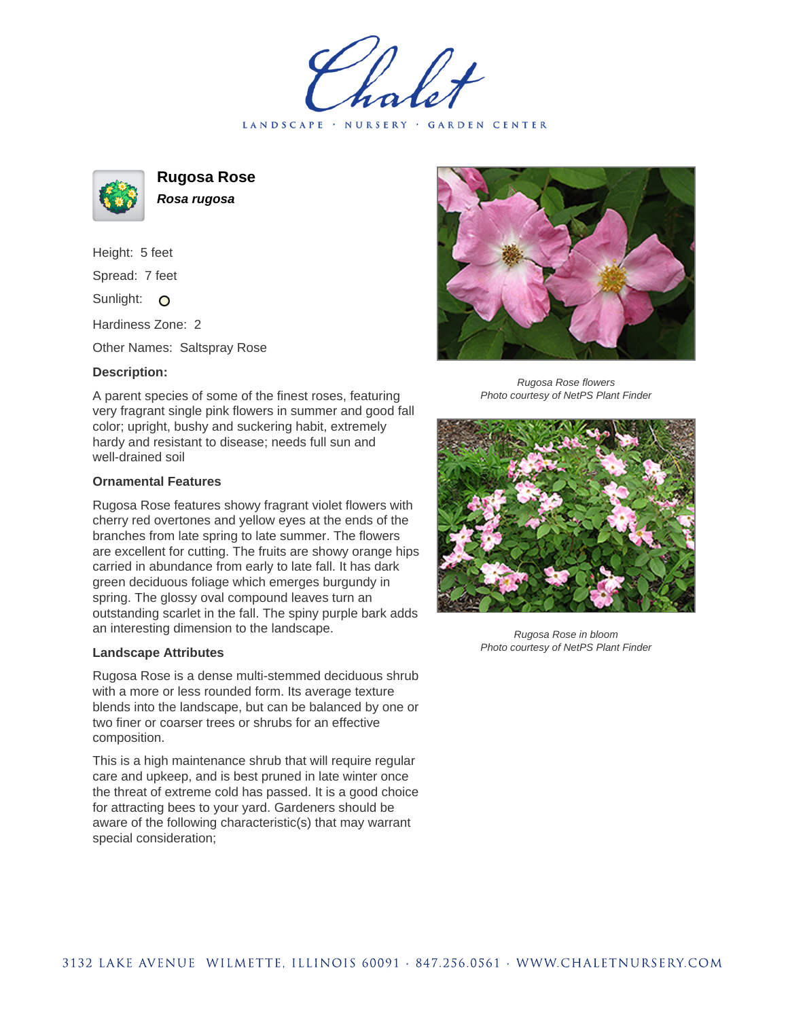LANDSCAPE · NURSERY · GARDEN CENTER

**Rugosa Rose Rosa rugosa**

Height: 5 feet Spread: 7 feet Sunlight: O

Hardiness Zone: 2

Other Names: Saltspray Rose

## **Description:**

A parent species of some of the finest roses, featuring very fragrant single pink flowers in summer and good fall color; upright, bushy and suckering habit, extremely hardy and resistant to disease; needs full sun and well-drained soil

## **Ornamental Features**

Rugosa Rose features showy fragrant violet flowers with cherry red overtones and yellow eyes at the ends of the branches from late spring to late summer. The flowers are excellent for cutting. The fruits are showy orange hips carried in abundance from early to late fall. It has dark green deciduous foliage which emerges burgundy in spring. The glossy oval compound leaves turn an outstanding scarlet in the fall. The spiny purple bark adds an interesting dimension to the landscape.

## **Landscape Attributes**

Rugosa Rose is a dense multi-stemmed deciduous shrub with a more or less rounded form. Its average texture blends into the landscape, but can be balanced by one or two finer or coarser trees or shrubs for an effective composition.

This is a high maintenance shrub that will require regular care and upkeep, and is best pruned in late winter once the threat of extreme cold has passed. It is a good choice for attracting bees to your yard. Gardeners should be aware of the following characteristic(s) that may warrant special consideration;



Rugosa Rose flowers Photo courtesy of NetPS Plant Finder



Rugosa Rose in bloom Photo courtesy of NetPS Plant Finder